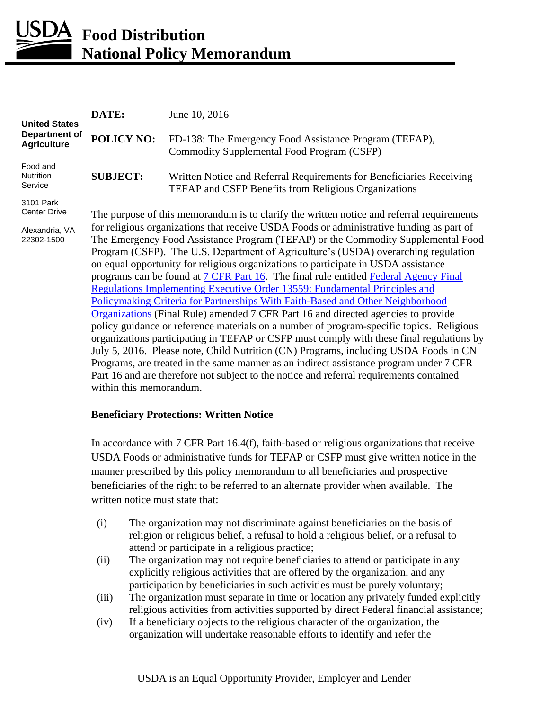# *<u>DA</u>* Food Distribution **National Policy Memorandum**

| <b>United States</b><br><b>Department of</b><br><b>Agriculture</b> | DATE:                                                                                                                                                                                                                                                                                                                                                                                                                                                                                                                                                                                                                                                                                                                                                                                                                                                                                                                                                                                                                                                                                                                                                                                                        | June 10, 2016                                                                                                                       |
|--------------------------------------------------------------------|--------------------------------------------------------------------------------------------------------------------------------------------------------------------------------------------------------------------------------------------------------------------------------------------------------------------------------------------------------------------------------------------------------------------------------------------------------------------------------------------------------------------------------------------------------------------------------------------------------------------------------------------------------------------------------------------------------------------------------------------------------------------------------------------------------------------------------------------------------------------------------------------------------------------------------------------------------------------------------------------------------------------------------------------------------------------------------------------------------------------------------------------------------------------------------------------------------------|-------------------------------------------------------------------------------------------------------------------------------------|
|                                                                    | <b>POLICY NO:</b>                                                                                                                                                                                                                                                                                                                                                                                                                                                                                                                                                                                                                                                                                                                                                                                                                                                                                                                                                                                                                                                                                                                                                                                            | FD-138: The Emergency Food Assistance Program (TEFAP),<br>Commodity Supplemental Food Program (CSFP)                                |
| Food and<br>Nutrition<br>Service                                   | <b>SUBJECT:</b>                                                                                                                                                                                                                                                                                                                                                                                                                                                                                                                                                                                                                                                                                                                                                                                                                                                                                                                                                                                                                                                                                                                                                                                              | Written Notice and Referral Requirements for Beneficiaries Receiving<br><b>TEFAP and CSFP Benefits from Religious Organizations</b> |
| 3101 Park<br><b>Center Drive</b>                                   | The purpose of this memorandum is to clarify the written notice and referral requirements                                                                                                                                                                                                                                                                                                                                                                                                                                                                                                                                                                                                                                                                                                                                                                                                                                                                                                                                                                                                                                                                                                                    |                                                                                                                                     |
| Alexandria, VA<br>22302-1500                                       | for religious organizations that receive USDA Foods or administrative funding as part of<br>The Emergency Food Assistance Program (TEFAP) or the Commodity Supplemental Food<br>Program (CSFP). The U.S. Department of Agriculture's (USDA) overarching regulation<br>on equal opportunity for religious organizations to participate in USDA assistance<br>programs can be found at 7 CFR Part 16. The final rule entitled Federal Agency Final<br><b>Regulations Implementing Executive Order 13559: Fundamental Principles and</b><br>Policymaking Criteria for Partnerships With Faith-Based and Other Neighborhood<br>Organizations (Final Rule) amended 7 CFR Part 16 and directed agencies to provide<br>policy guidance or reference materials on a number of program-specific topics. Religious<br>organizations participating in TEFAP or CSFP must comply with these final regulations by<br>July 5, 2016. Please note, Child Nutrition (CN) Programs, including USDA Foods in CN<br>Programs, are treated in the same manner as an indirect assistance program under 7 CFR<br>Part 16 and are therefore not subject to the notice and referral requirements contained<br>within this memorandum. |                                                                                                                                     |

#### **Beneficiary Protections: Written Notice**

In accordance with 7 CFR Part 16.4(f), faith-based or religious organizations that receive USDA Foods or administrative funds for TEFAP or CSFP must give written notice in the manner prescribed by this policy memorandum to all beneficiaries and prospective beneficiaries of the right to be referred to an alternate provider when available. The written notice must state that:

- (i) The organization may not discriminate against beneficiaries on the basis of religion or religious belief, a refusal to hold a religious belief, or a refusal to attend or participate in a religious practice;
- (ii) The organization may not require beneficiaries to attend or participate in any explicitly religious activities that are offered by the organization, and any participation by beneficiaries in such activities must be purely voluntary;
- (iii) The organization must separate in time or location any privately funded explicitly religious activities from activities supported by direct Federal financial assistance;
- (iv) If a beneficiary objects to the religious character of the organization, the organization will undertake reasonable efforts to identify and refer the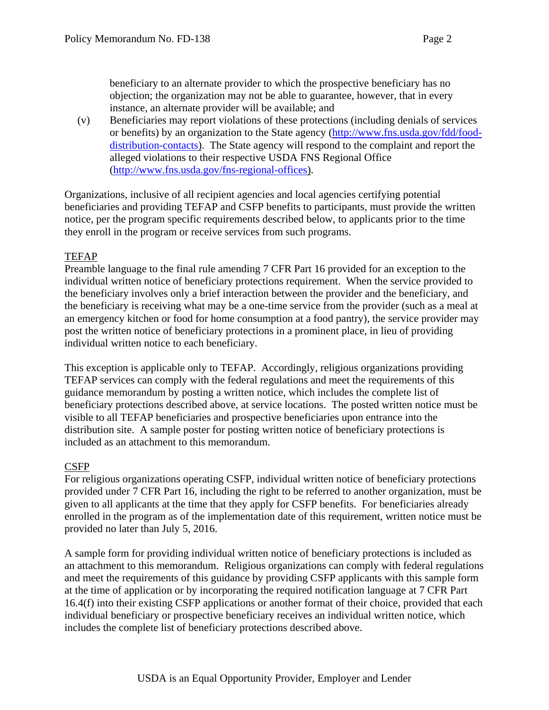beneficiary to an alternate provider to which the prospective beneficiary has no objection; the organization may not be able to guarantee, however, that in every instance, an alternate provider will be available; and

(v) Beneficiaries may report violations of these protections (including denials of services or benefits) by an organization to the State agency [\(http://www.fns.usda.gov/fdd/food](http://www.fns.usda.gov/fdd/food-distribution-contacts)[distribution-contacts\)](http://www.fns.usda.gov/fdd/food-distribution-contacts). The State agency will respond to the complaint and report the alleged violations to their respective USDA FNS Regional Office [\(http://www.fns.usda.gov/fns-regional-offices\)](http://www.fns.usda.gov/fns-regional-offices).

Organizations, inclusive of all recipient agencies and local agencies certifying potential beneficiaries and providing TEFAP and CSFP benefits to participants, must provide the written notice, per the program specific requirements described below, to applicants prior to the time they enroll in the program or receive services from such programs.

#### TEFAP

Preamble language to the final rule amending 7 CFR Part 16 provided for an exception to the individual written notice of beneficiary protections requirement. When the service provided to the beneficiary involves only a brief interaction between the provider and the beneficiary, and the beneficiary is receiving what may be a one-time service from the provider (such as a meal at an emergency kitchen or food for home consumption at a food pantry), the service provider may post the written notice of beneficiary protections in a prominent place, in lieu of providing individual written notice to each beneficiary.

This exception is applicable only to TEFAP. Accordingly, religious organizations providing TEFAP services can comply with the federal regulations and meet the requirements of this guidance memorandum by posting a written notice, which includes the complete list of beneficiary protections described above, at service locations. The posted written notice must be visible to all TEFAP beneficiaries and prospective beneficiaries upon entrance into the distribution site. A sample poster for posting written notice of beneficiary protections is included as an attachment to this memorandum.

#### CSFP

For religious organizations operating CSFP, individual written notice of beneficiary protections provided under 7 CFR Part 16, including the right to be referred to another organization, must be given to all applicants at the time that they apply for CSFP benefits. For beneficiaries already enrolled in the program as of the implementation date of this requirement, written notice must be provided no later than July 5, 2016.

A sample form for providing individual written notice of beneficiary protections is included as an attachment to this memorandum. Religious organizations can comply with federal regulations and meet the requirements of this guidance by providing CSFP applicants with this sample form at the time of application or by incorporating the required notification language at 7 CFR Part 16.4(f) into their existing CSFP applications or another format of their choice, provided that each individual beneficiary or prospective beneficiary receives an individual written notice, which includes the complete list of beneficiary protections described above.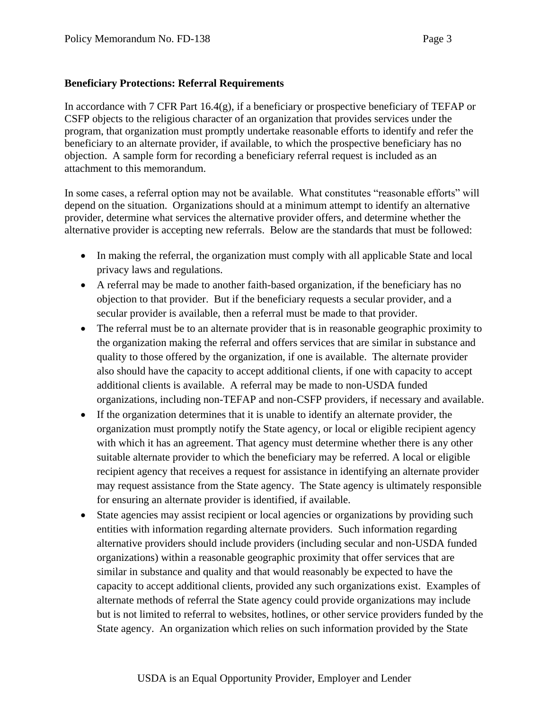#### **Beneficiary Protections: Referral Requirements**

In accordance with 7 CFR Part 16.4(g), if a beneficiary or prospective beneficiary of TEFAP or CSFP objects to the religious character of an organization that provides services under the program, that organization must promptly undertake reasonable efforts to identify and refer the beneficiary to an alternate provider, if available, to which the prospective beneficiary has no objection. A sample form for recording a beneficiary referral request is included as an attachment to this memorandum.

In some cases, a referral option may not be available. What constitutes "reasonable efforts" will depend on the situation. Organizations should at a minimum attempt to identify an alternative provider, determine what services the alternative provider offers, and determine whether the alternative provider is accepting new referrals. Below are the standards that must be followed:

- In making the referral, the organization must comply with all applicable State and local privacy laws and regulations.
- A referral may be made to another faith-based organization, if the beneficiary has no objection to that provider. But if the beneficiary requests a secular provider, and a secular provider is available, then a referral must be made to that provider.
- The referral must be to an alternate provider that is in reasonable geographic proximity to the organization making the referral and offers services that are similar in substance and quality to those offered by the organization, if one is available. The alternate provider also should have the capacity to accept additional clients, if one with capacity to accept additional clients is available. A referral may be made to non-USDA funded organizations, including non-TEFAP and non-CSFP providers, if necessary and available.
- If the organization determines that it is unable to identify an alternate provider, the organization must promptly notify the State agency, or local or eligible recipient agency with which it has an agreement. That agency must determine whether there is any other suitable alternate provider to which the beneficiary may be referred. A local or eligible recipient agency that receives a request for assistance in identifying an alternate provider may request assistance from the State agency. The State agency is ultimately responsible for ensuring an alternate provider is identified, if available.
- State agencies may assist recipient or local agencies or organizations by providing such entities with information regarding alternate providers. Such information regarding alternative providers should include providers (including secular and non-USDA funded organizations) within a reasonable geographic proximity that offer services that are similar in substance and quality and that would reasonably be expected to have the capacity to accept additional clients, provided any such organizations exist. Examples of alternate methods of referral the State agency could provide organizations may include but is not limited to referral to websites, hotlines, or other service providers funded by the State agency. An organization which relies on such information provided by the State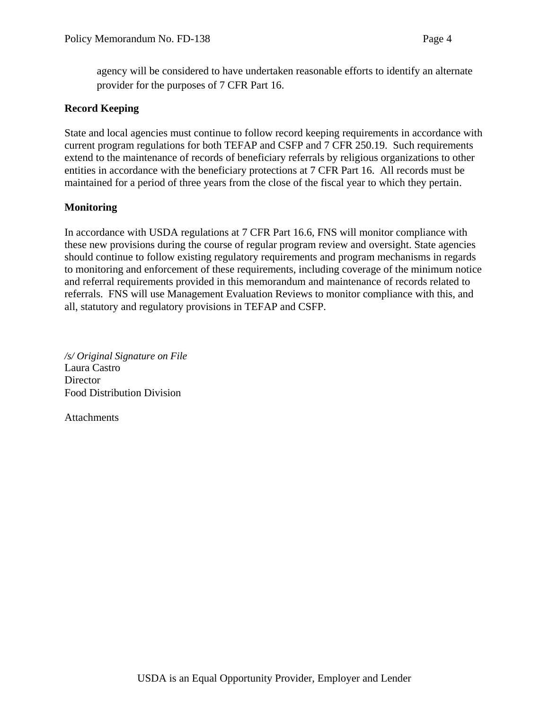agency will be considered to have undertaken reasonable efforts to identify an alternate provider for the purposes of 7 CFR Part 16.

#### **Record Keeping**

State and local agencies must continue to follow record keeping requirements in accordance with current program regulations for both TEFAP and CSFP and 7 CFR 250.19. Such requirements extend to the maintenance of records of beneficiary referrals by religious organizations to other entities in accordance with the beneficiary protections at 7 CFR Part 16. All records must be maintained for a period of three years from the close of the fiscal year to which they pertain.

#### **Monitoring**

In accordance with USDA regulations at 7 CFR Part 16.6, FNS will monitor compliance with these new provisions during the course of regular program review and oversight. State agencies should continue to follow existing regulatory requirements and program mechanisms in regards to monitoring and enforcement of these requirements, including coverage of the minimum notice and referral requirements provided in this memorandum and maintenance of records related to referrals. FNS will use Management Evaluation Reviews to monitor compliance with this, and all, statutory and regulatory provisions in TEFAP and CSFP.

*/s/ Original Signature on File* Laura Castro **Director** Food Distribution Division

**Attachments**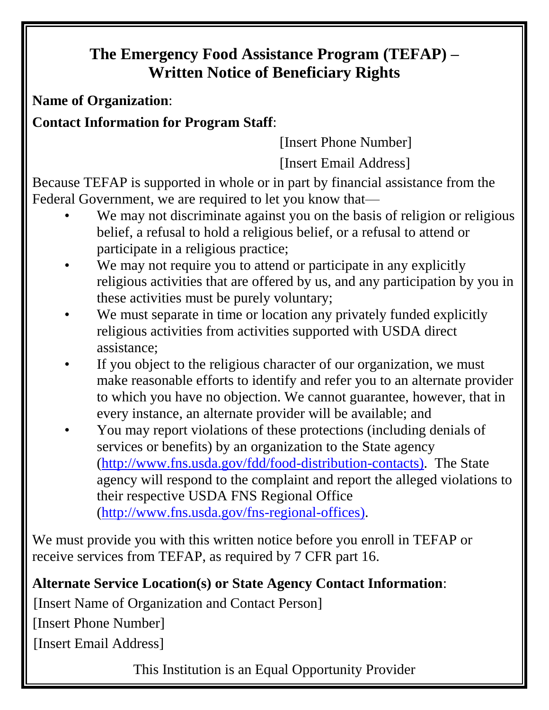# **The Emergency Food Assistance Program (TEFAP) – Written Notice of Beneficiary Rights**

**Name of Organization**:

**Contact Information for Program Staff**:

[Insert Phone Number] [Insert Email Address]

Because TEFAP is supported in whole or in part by financial assistance from the Federal Government, we are required to let you know that—

- We may not discriminate against you on the basis of religion or religious belief, a refusal to hold a religious belief, or a refusal to attend or participate in a religious practice;
- We may not require you to attend or participate in any explicitly religious activities that are offered by us, and any participation by you in these activities must be purely voluntary;
- We must separate in time or location any privately funded explicitly religious activities from activities supported with USDA direct assistance;
- If you object to the religious character of our organization, we must make reasonable efforts to identify and refer you to an alternate provider to which you have no objection. We cannot guarantee, however, that in every instance, an alternate provider will be available; and
- You may report violations of these protections (including denials of services or benefits) by an organization to the State agency [\(http://www.fns.usda.gov/fdd/food-distribution-contacts\)](http://www.fns.usda.gov/fdd/food-distribution-contacts). The State agency will respond to the complaint and report the alleged violations to their respective USDA FNS Regional Office [\(http://www.fns.usda.gov/fns-regional-offices\)](http://www.fns.usda.gov/fns-regional-offices).

We must provide you with this written notice before you enroll in TEFAP or receive services from TEFAP, as required by 7 CFR part 16.

## **Alternate Service Location(s) or State Agency Contact Information**:

[Insert Name of Organization and Contact Person]

[Insert Phone Number]<br>[Insert Email Address]

This Institution is an Equal Opportunity Provider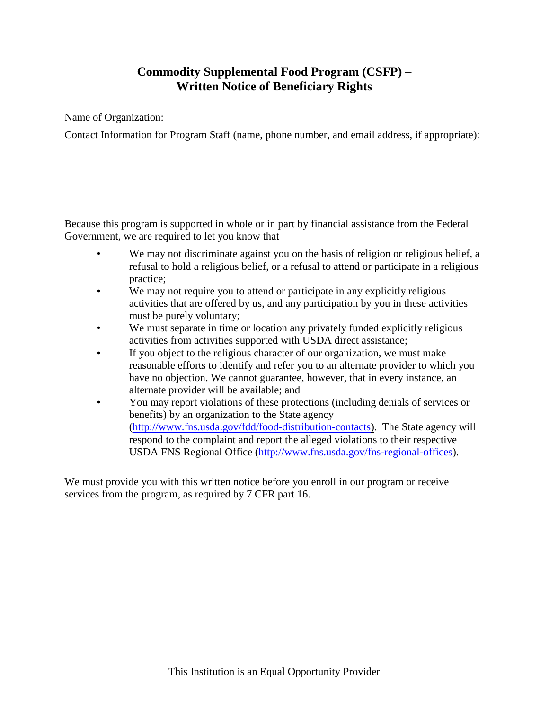### **Commodity Supplemental Food Program (CSFP) – Written Notice of Beneficiary Rights**

Name of Organization:

Contact Information for Program Staff (name, phone number, and email address, if appropriate):

Because this program is supported in whole or in part by financial assistance from the Federal Government, we are required to let you know that—

- We may not discriminate against you on the basis of religion or religious belief, a refusal to hold a religious belief, or a refusal to attend or participate in a religious practice;
- We may not require you to attend or participate in any explicitly religious activities that are offered by us, and any participation by you in these activities must be purely voluntary;
- We must separate in time or location any privately funded explicitly religious activities from activities supported with USDA direct assistance;
- If you object to the religious character of our organization, we must make reasonable efforts to identify and refer you to an alternate provider to which you have no objection. We cannot guarantee, however, that in every instance, an alternate provider will be available; and
- You may report violations of these protections (including denials of services or benefits) by an organization to the State agency [\(http://www.fns.usda.gov/fdd/food-distribution-contacts\)](http://www.fns.usda.gov/fdd/food-distribution-contacts). The State agency will respond to the complaint and report the alleged violations to their respective USDA FNS Regional Office [\(http://www.fns.usda.gov/fns-regional-offices\)](http://www.fns.usda.gov/fns-regional-offices).

We must provide you with this written notice before you enroll in our program or receive services from the program, as required by 7 CFR part 16.